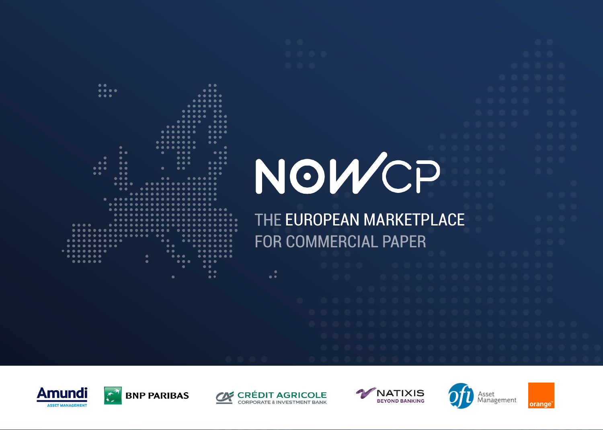

 $\bullet$ 

 $\bullet$   $\bullet$   $\bullet$ 

**EUROPEAN MARKETPLACEFOR COMMERCIAL PAPER** 



 $\bullet\bullet$ 

 $\bullet\bullet\bullet\bullet$ 

 $\bullet$  $\bullet\bullet$ 

 $\bullet\bullet$ 

 $\bullet$ 

 $\bullet$  $\bullet\bullet\bullet$ 

 $\bullet\bullet\bullet$ 

 $\bullet$ 

 $\bullet\bullet$ 

 $\bullet\bullet\bullet$ 

 $\bullet\bullet$ 

......



 $\bullet$ 

 $\bullet$ 

 $\bullet\bullet\bullet$ 

 $\bullet\bullet\bullet$ 

 $\bullet$ 

 $\bullet\bullet\bullet$  $\bullet\bullet$ 

 $\bullet$ 

 $\bullet$   $\bullet$ 



 $\bullet$ 

 $\bullet$   $\bullet$ 





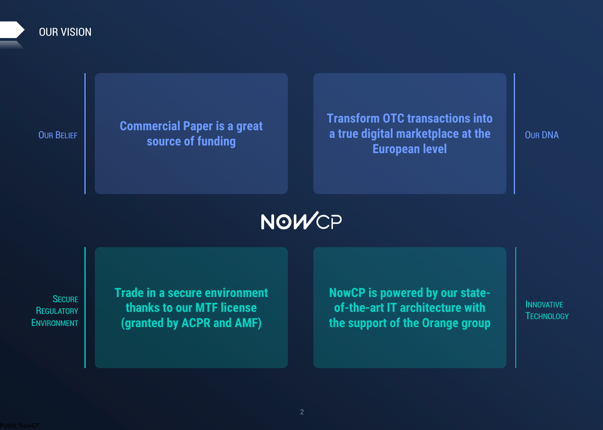### **OUR VISION**

**Commercial Paper is a great source of funding** 

**Transform OTC transactions into a true digital marketplace at the European level**

**OUR DNA**

# NOWCP

**SECURE REGULATORY ENVIRONMENT**

**Trade in a secure environment thanks to our MTF license (granted by ACPR and AMF)**

**NowCP is powered by our stateof-the-art IT architecture with the support of the Orange group**

**INNOVATIVE TECHNOLOGY**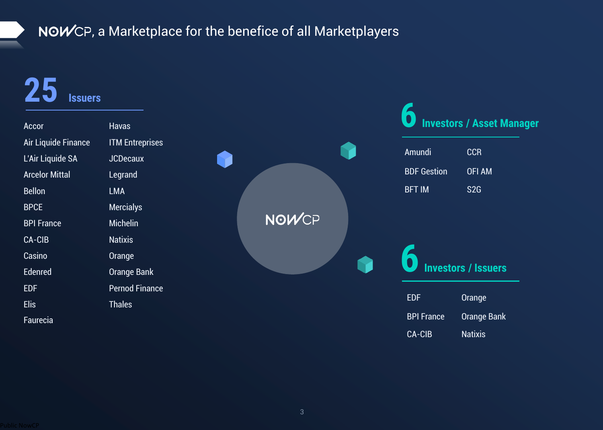# NOWCP, a Marketplace for the benefice of all Marketplayers

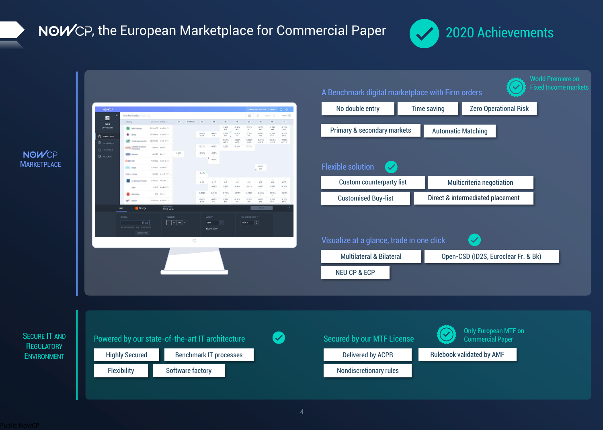## NOWCP, the European Marketplace for Commercial Paper



**NOWCP MARKETPLACE**

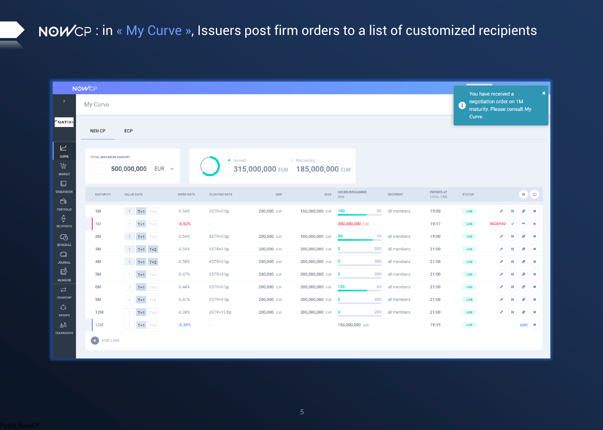# NOWCP: in « My Curve », Issuers post firm orders to a list of customized recipients

| <b>NOWCP</b><br>$\rightarrow$            |  |                              |                           |                   |                      |                                 |                 |                                 |     |                  |                                 | $\boldsymbol{\mathsf{x}}$<br>You have received a<br>negotiation order on 1M<br>$\mathbf \theta$ |                 |                              |                             |                |  |
|------------------------------------------|--|------------------------------|---------------------------|-------------------|----------------------|---------------------------------|-----------------|---------------------------------|-----|------------------|---------------------------------|-------------------------------------------------------------------------------------------------|-----------------|------------------------------|-----------------------------|----------------|--|
|                                          |  | My Curve                     |                           |                   |                      |                                 |                 |                                 |     |                  |                                 |                                                                                                 |                 |                              | maturity. Please consult My |                |  |
| NATIXI                                   |  | <b>NEU CP</b>                |                           | Curve.            |                      |                                 |                 |                                 |     |                  |                                 |                                                                                                 |                 |                              |                             |                |  |
|                                          |  |                              | <b>ECP</b>                |                   |                      |                                 |                 |                                 |     |                  |                                 |                                                                                                 |                 |                              |                             |                |  |
| ピ<br><b>CURVE</b>                        |  | <b>TOTAL MAXIMUM AMOUNT</b>  |                           |                   |                      |                                 |                 |                                 |     |                  |                                 |                                                                                                 |                 |                              |                             |                |  |
| 京                                        |  |                              | 500,000,000<br>$EUR \sim$ |                   | • Issued             | 315,000,000 EUR 185,000,000 EUR | • Remaining     |                                 |     |                  |                                 |                                                                                                 |                 |                              |                             |                |  |
| <b>MARKET</b><br>$\square$               |  |                              |                           |                   |                      |                                 |                 |                                 |     |                  |                                 |                                                                                                 |                 |                              |                             |                |  |
| <b>ORDER BOOK</b>                        |  | <b>MATURITY</b>              | <b>VALUE DATE</b>         | <b>FIXED RATE</b> | <b>FLOATING RATE</b> | <b>MIN</b>                      | <b>MAX</b>      | <b>ISSUED/REMAINING</b><br>IN M |     | <b>RECIPIENT</b> | <b>EXPIRES AT</b><br>LOCAL TIME | <b>STATUS</b>                                                                                   |                 |                              | $\mathbf{u}$ ( $\phi$       |                |  |
| 白<br>PORTFOLIO                           |  | 1M                           | $T = T + 1$ $T + 2$       | $-0.54%$          | €STR+0 bp            | 200,000 EUR                     | 150,000,000 EUR | 100                             | 50  | all members      | 19:00                           | <b>LIVE</b>                                                                                     | $\mathscr{P}$   | $\mathbf{u}$                 | t.                          | ×              |  |
| ↔<br><b>RECIPIENTS</b>                   |  | 1M                           | $T+1$ $T+2$<br>$-$ T $-$  | $-0.52%$          | $\sim$               |                                 |                 | 300,000,000 EUR                 |     |                  | 19:17                           | <b>LIVE</b>                                                                                     | <b>RECEIVED</b> | $\checkmark$                 | $\rightarrow$               | $\mathbf x$    |  |
| $\mathfrak{S}$                           |  | 2M                           | $T = T + 1$ $T + 2$       | $-0.54%$          | €STR+0 bp            | 200,000 EUR                     | 100,000,000 EUR | 80                              | 20  | all members      | 19:00                           | <b>LIVE</b>                                                                                     | $\mathscr{P}$   | $\blacksquare$               | d.                          | $\mathbb{R}^n$ |  |
| <b>SCHEDULE</b><br>$\Box$                |  | 3M                           | $T = T+1$ $T+2$           | $-0.54%$          | €STR+2 bp            | 200,000 EUR                     | 200,000,000 EUR | $\bf{0}$                        | 200 | all members      | 21:00                           | <b>LIVE</b>                                                                                     | $\mathscr{P}$   | (п                           | d,                          | л              |  |
| <b>JOURNAL</b>                           |  | 4M                           | $T = T+1$ T+2             | $-0.50%$          | €STR+2 bp            | 200,000 EUR                     | 200,000,000 EUR | $\bf{0}$                        | 200 | all members      | 21:00                           | LIVE                                                                                            | $\mathscr{P}$   | (п                           | t.                          | ×.             |  |
| ඦ<br><b>MEMBERS</b>                      |  | 5M                           | $T+1$ $T+2$<br>$\top$     | $-0.47%$          | €STR+4 bp            | 200,000 EUR                     | 200,000,000 EUR | $\bf{0}$                        | 200 | all members      | 21:00                           | <b>LIVE</b>                                                                                     | $\mathscr{P}$   | $\blacksquare$               | d.                          | ×.             |  |
| $\overrightarrow{C}$                     |  | 6M                           | $T+1$ $T+2$<br>$\top$     | $-0.44%$          | €STR+6 bp            | 200,000 EUR                     | 200,000,000 EUR | 135                             | 65  | all members      | 21:00                           | LIVE                                                                                            | $\mathscr{P}$   | $\blacksquare$               | d,                          | п              |  |
| <b>COUNTERP.</b><br>$\zeta^{\mathsf{o}}$ |  | 9M                           | $T+1$ $T+2$<br>$\top$     | $-0.41%$          | €STR+9 bp            | 200,000 EUR                     | 200,000,000 EUR | $\bf{0}$                        | 200 | all members      | 21:00                           | LIVE                                                                                            | $\mathscr{P}$   | $\left($ $\mathbf{H}\right)$ | d.                          | ×.             |  |
| <b>GROUPS</b>                            |  | <b>12M</b>                   | $T + 1 = T + 2$<br>$\top$ | $-0.38%$          | €STR+13 bp           | 200,000 EUR                     | 200,000,000 EUR | $\bf{0}$                        | 200 | all members      | 21:00                           | <b>LIVE</b>                                                                                     | $\mathscr{P}$   | ι                            | d.                          | л              |  |
| åå<br><b>CLEARANCES</b>                  |  | 12M                          | $T+1$ $T+2$<br>T          | $-0.36%$          | $\sim$               |                                 |                 | 150,000,000 EUR                 |     |                  | 19:19                           | <b>LIVE</b>                                                                                     |                 |                              | $SENT \n\equiv$             |                |  |
|                                          |  | $\bullet$<br><b>ADD LINE</b> |                           |                   |                      |                                 |                 |                                 |     |                  |                                 |                                                                                                 |                 |                              |                             |                |  |
|                                          |  |                              |                           |                   |                      |                                 |                 |                                 |     |                  |                                 |                                                                                                 |                 |                              |                             |                |  |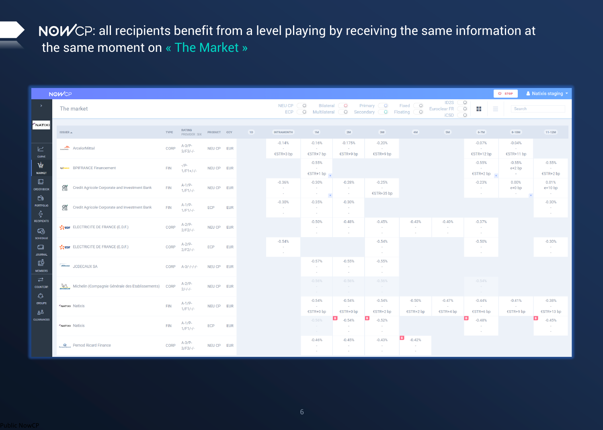NOWCP: all recipients benefit from a level playing by receiving the same information at the same moment on « The Market »

|                                                                               | <b>NOWCP</b>                                                                         |      |                         |             |            |                             |                                                        |                                           |                                     |                                            |                                                         |                                            |                                       | <b>少 STOP</b>                          | & Natixis staging *                      |
|-------------------------------------------------------------------------------|--------------------------------------------------------------------------------------|------|-------------------------|-------------|------------|-----------------------------|--------------------------------------------------------|-------------------------------------------|-------------------------------------|--------------------------------------------|---------------------------------------------------------|--------------------------------------------|---------------------------------------|----------------------------------------|------------------------------------------|
| $\rightarrow$                                                                 | The market                                                                           |      |                         |             |            | <b>NEU CP</b><br><b>ECP</b> | $\circ$<br><b>Bilateral</b><br>$\circ$<br>Multilateral | $\circ$<br>$\circ$                        | Primary 0<br>$\circ$<br>Secondary ( | Fixed $\bigcirc$<br>Floating 0             | ID <sub>2</sub> S<br><b>Euroclear FR</b><br><b>iCSD</b> | $\circ$<br>$\bigcirc$<br>ж<br>Ξ<br>$\circ$ | Search                                |                                        |                                          |
| NATIXI                                                                        | <b>ISSUER ▲</b>                                                                      |      | RATING<br>PROVIDER: SIX | PRODUCT CCY |            | 1D                          | <b>INTRAMONTH</b>                                      | 1M                                        | 2M                                  | 3M                                         | 4M                                                      | 5M                                         | $6-7M$                                | 8-10M                                  | $11-12M$                                 |
| $\overline{\smash{\sqsubset}}$<br><b>CURVE</b><br>庁<br><b>MARKET</b>          | ArcelorMittal                                                                        |      | $A-3/P-$<br>$3/F3/-/ -$ | NEU CP EUR  |            |                             | $-0.14%$<br>$\sim$<br>€STR+3 bp                        | $-0.16%$<br><b>CO</b><br>€STR+7 bp        | $-0.175%$<br>$\sim$<br>€STR+9 bp    | $-0.20%$<br>$\sim$<br>€STR+9 bp            |                                                         |                                            | $-0.07%$<br>$\sim$<br>€STR+12 bp      | $-0.04%$<br>$\sim$<br>€STR+11 bp       |                                          |
|                                                                               | bpifrance BPIFRANCE Financement                                                      |      | $-$ /P-<br>$1/F1+/-.$   | NEU CP EUR  |            |                             |                                                        | $-0.55%$<br>$\sim$<br>€STR+1 bp           |                                     |                                            |                                                         |                                            | $-0.55%$<br>$\sim$<br>€STR+2 bp<br>i. | $-0.55%$<br>$e+2$ bp<br>$\sim 10^{-1}$ | $-0.55%$<br>$\sim$<br>€STR+2 bp          |
| $\Box$<br><b>ORDER BOOK</b><br>$\bigoplus$                                    | $\frac{dN}{dE}$<br>Credit Agricole Corporate and Investment Bank                     |      | $A-1/P-$<br>$1/F1/-/$   | NEU CP EUR  |            |                             | $-0.36%$<br><b>College</b><br><b>College</b>           | $-0.30%$<br>$\sim$<br>$\sim$<br>$\ddot{}$ | $-0.28%$<br>$\sim$<br>$\sim$        | $-0.25%$<br>$\sim$ 100 $\pm$<br>€STR+35 bp |                                                         |                                            | $-0.23%$<br>$\sim$<br>$\sim$          | 0.00%<br>$e+0$ bp<br>$\sim$            | 0.01%<br>$e+10$ bp<br>$\sim$ $-$         |
| <b>PORTFOLIO</b><br>$\frac{2}{3}$                                             | $rac{\text{CR}}{\text{CIB}}$<br><b>Credit Agricole Corporate and Investment Bank</b> |      | $A-1/P-$<br>$1/F1/-/$   | ECP         | <b>EUR</b> |                             | $-0.30%$<br>$\sim$<br>$\sim$                           | $-0.35%$<br>$\sim$                        | $-0.30%$<br>$\sim$<br>$\sim$        |                                            |                                                         |                                            |                                       |                                        | $-0.30%$<br>$\sim$<br>$\sim$             |
| <b>RECIPIENTS</b><br>$\mathbb{Z}$                                             | CeDF ELECTRICITE DE FRANCE (E.D.F.)                                                  | CORP | $A-2/P-$<br>$2/F2/-/-$  | NEU CP EUR  |            |                             |                                                        | $-0.50%$<br>$\sim$<br>$\sim$              | $-0.48%$<br>$\sim$<br>$\sim$        | $-0.45%$<br>$\sim$<br>$\sim$ $-$           | $-0.43%$<br>$\sim$                                      | $-0.40%$<br>$\sim$<br>$\sim$               | $-0.37%$<br>$\sim$<br>$\sim$ $-$      |                                        |                                          |
| <b>SCHEDULE</b><br>$\Box$<br><b>JOURNAL</b>                                   | SCHOOL ELECTRICITE DE FRANCE (E.D.F.)                                                |      | $A-2/P-$<br>$2/F2/-/-$  | ECP         | <b>EUR</b> |                             | $-0.54%$<br>$\sim$<br>$\sim$                           |                                           |                                     | $-0.54%$<br>$\sim$<br>$\sim$ $-$           |                                                         |                                            | $-0.50%$<br>$\sim$<br>$\sim$          |                                        | $-0.30%$<br>$\sim$<br>$\sim$             |
| ௺<br><b>MEMBERS</b>                                                           | JCDECAUX SA                                                                          | CORP | $A-3/-/-/-/-$           | NEU CP EUR  |            |                             |                                                        | $-0.57%$<br>$\sim$                        | $-0.55%$<br>$\sim$<br>$\sim$        | $-0.55%$<br>$\sim$<br>$\sim$               |                                                         |                                            |                                       |                                        |                                          |
| $\overrightarrow{C}$<br><b>COUNTERP.</b><br>$\mathcal{L}^{\circlearrowright}$ | Michelin (Compagnie Générale des Etablissements) CORP                                |      | $A-2/P-$<br>$2/-/-/-$   | NEU CP EUR  |            |                             |                                                        | $-0.56%$<br>$\sim$<br>$\sim$ $-$          | $-0.56%$<br>$\sim$<br>$\sim$        | $-0.56%$<br>$\sim$ $-$<br>$\sim$ $-$       |                                                         |                                            | $-0.54%$<br>$\sim$ $-$<br>$\sim$      |                                        |                                          |
| <b>GROUPS</b><br>ஃஃ<br><b>CLEARANCES</b>                                      | <b>FNATIXI Natixis</b><br><b>FNATIXI Natixis</b>                                     |      | $A-1/P-$<br>$1/F1/-/ -$ | NEU CP EUR  |            |                             |                                                        | $-0.54%$<br>$\sim$<br>€STR+0 bp           | $-0.54%$<br>$\sim$ $-$<br>€STR+0 bp | $-0.54%$<br><b>Contract</b><br>€STR+2 bp   | $-0.50%$<br>$\sim$ 10 $\pm$<br>$\epsilon$ STR+2 bp      | $-0.47%$<br>$\sim$<br>€STR+4 bp            | $-0.44%$<br>$\sim 100$<br>€STR+6 bp   | $-0.41%$<br>$\sim$<br>€STR+9 bp        | $-0.38%$<br><b>College</b><br>€STR+13 bp |
|                                                                               |                                                                                      |      | $A-1/P-$<br>$1/F1/-/$   | ECP         | <b>EUR</b> |                             |                                                        | $-0.56%$                                  | B,<br>$-0.54%$<br>$\sim$<br>$\sim$  | $-0.52%$<br>$\sim$<br>$\sim$ $-$           |                                                         |                                            | $-0.48%$<br>$\sim$<br>$\sim$          |                                        | $-0.45%$<br>$\sim$<br>$\sim$             |
|                                                                               | <b>Pernod Ricard Finance</b>                                                         | CORP | $A-3/P-$<br>$3/F3/-/ -$ | NEU CP EUR  |            |                             |                                                        | $-0.46%$<br>$\sim$<br><b>.</b>            | $-0.45%$<br>$\sim$<br>$\sim$        | $-0.43%$<br>$\sim$<br>$\sim$               | B,<br>$-0.42%$<br>$\sim$<br>$\sim$                      |                                            |                                       |                                        |                                          |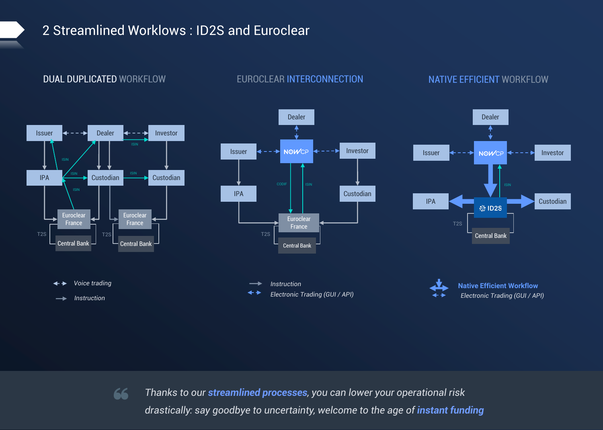### 2 Streamlined Worklows : ID2S and Euroclear

### **Dealer Dealer Dealer Issuer** ← - - > Dealer ← - - > Investor **Issuer 4 - - → NOWCP 4 - - - > Investor Issuer** ← - - → NOWCP ← - - - → Investor ISINIPA  $\xrightarrow{\text{ISIN}}$  Custodian  $\xrightarrow{\text{ISIN}}$  Custodian ISIN **IPA Custodian IPA Custodian Euroclear Euroclear Euroclear France France** T2S **France** T2S | \_\_\_\_\_\_\_\_\_\_\_\_\_\_\_\_ | T2S T2S **Central Bank Central Bank Central Bank Central Bank** *Voice trading* ┹┺ *Instruction* **Native Efficient Workflow** *Electronic Trading (GUI / API) Electronic Trading (GUI / API) Instruction*

### **DUAL DUPLICATED** WORKFLOW **REUROCLEAR INTERCONNECTION <b>NATIVE EFFICIENT** WORKFLOW

Thanks to our streamlined processes, you can lower your operational risk<br>drastically: say goodbye to uncertainty, welcome to the age of instant funding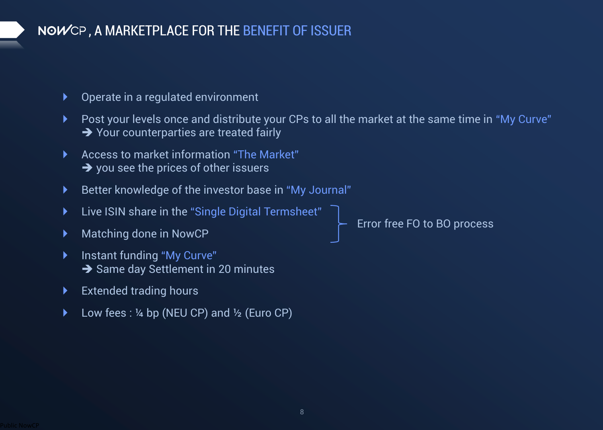## **, A MARKETPLACE FOR THE BENEFIT OF ISSUER**

- Operate in a regulated environment
- Post your levels once and distribute your CPs to all the market at the same time in "My Curve" → Your counterparties are treated fairly
- ▶ Access to market information "The Market" ➔ you see the prices of other issuers
- Better knowledge of the investor base in "My Journal"
- Live ISIN share in the "Single Digital Termsheet"
- ▶ Matching done in NowCP
- **Instant funding "My Curve" → Same day Settlement in 20 minutes**
- **Extended trading hours**
- Low fees : ¼ bp (NEU CP) and ½ (Euro CP)

Error free FO to BO process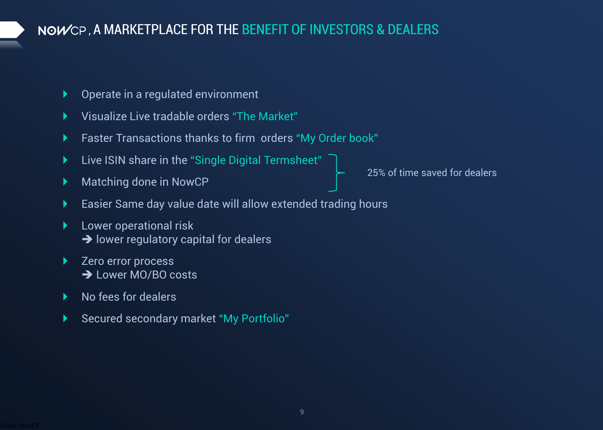## **, A MARKETPLACE FOR THE BENEFIT OF INVESTORS & DEALERS**

- Operate in a regulated environment
- Visualize Live tradable orders "The Market"
- Faster Transactions thanks to firm orders "My Order book"
- Live ISIN share in the "Single Digital Termsheet"
- Matching done in NowCP

25% of time saved for dealers

- Easier Same day value date will allow extended trading hours
- Lower operational risk **→** lower regulatory capital for dealers
- Zero error process ➔ Lower MO/BO costs
- No fees for dealers
- Secured secondary market "My Portfolio"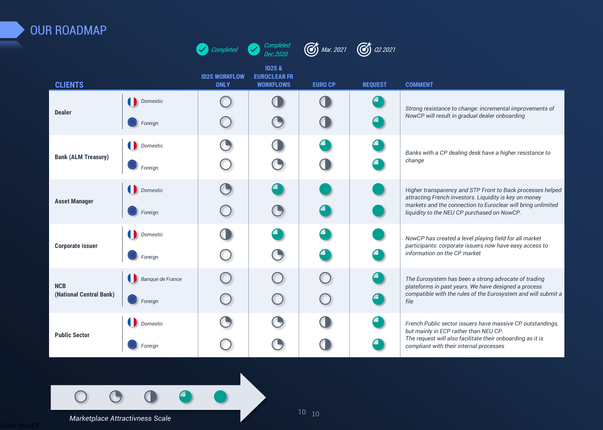### **OUR ROADMAP**  $\bullet$  Completed  $\bullet$  Completed  $\bullet$  **C** Mar. 2021  $\bullet$  02 2021 **Completed Dec.2020 ID2S & ID2S WORKFLOW EUROCLEAR FR CLIENTS ONLY WORKFLOWS EURO CP REQUEST COMMENT Domestic**  $\bigcap$  $\bigcap$  $\Box$ **Dealer** *Strong resistance to change: incremental improvements of* **<b>***Strong resistance to change: incremental improvements of NowCP will result in gradual dealer onboarding*  $\left(\textcolor{red}{\bullet}\right)$ *Foreign*  $\Box$ **Domestic**  $\bigodot$ **Bank (ALM Treasury)** *Banks with a CP dealing desk have a higher resistance to* **<b>***Banks with a CP dealing desk have a higher resistance to* **<b>***Banks with a CP dealing desk have a higher resistance to change Foreign*  $\bigodot$ *Domestic Higher transparency and STP Front to Back processes helped attracting French investors. Liquidity is key on money*  **Asset Manager** *markets and the connection to Euroclear will bring unlimited*   $\bigodot$ *Foreign liquidity to the NEU CP purchased on NowCP.*  **Domestic** *NowCP has created a level playing field for all market participants: corporate issuers now have easy access to*  **Corporate issuer**  $\bigodot$ *information on the CP market Foreign Banque de France The Eurosystem has been a strong advocate of trading*  **NCB** *plateforms in past years. We have designed a process compatible with the rules of the Eurosystem and will submit a*  **(National Central Bank)** *Foreign file*  **Domestic** *French Public sector issuers have massive CP outstandings, but mainly in ECP rather than NEU CP.* **Public Sector** *The request will also facilitate their onboarding as it is*  C *Foreign compliant with their internal processes*

### **Marketplace Attractivness Scale**